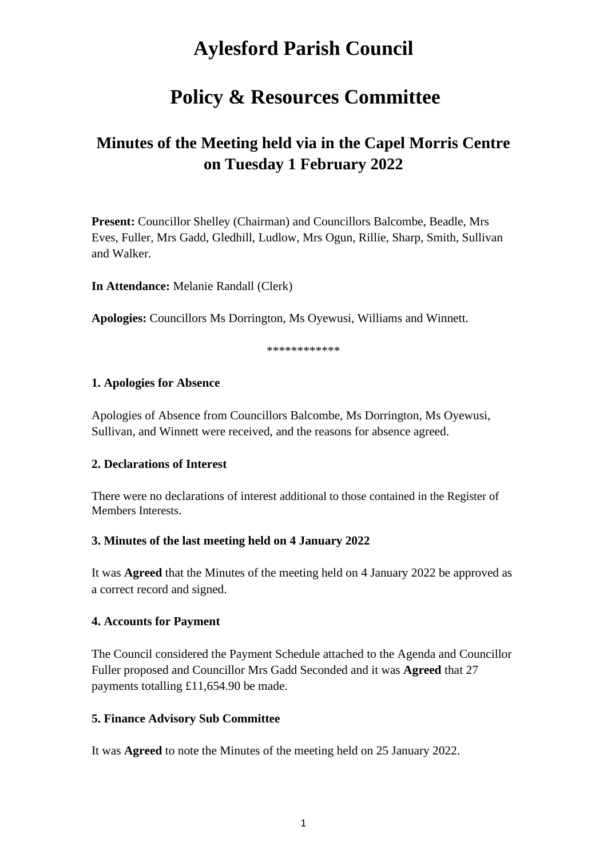# **Aylesford Parish Council**

# **Policy & Resources Committee**

# **Minutes of the Meeting held via in the Capel Morris Centre on Tuesday 1 February 2022**

**Present:** Councillor Shelley (Chairman) and Councillors Balcombe, Beadle, Mrs Eves, Fuller, Mrs Gadd, Gledhill, Ludlow, Mrs Ogun, Rillie, Sharp, Smith, Sullivan and Walker.

**In Attendance:** Melanie Randall (Clerk)

**Apologies:** Councillors Ms Dorrington, Ms Oyewusi, Williams and Winnett.

\*\*\*\*\*\*\*\*\*\*\*\*

#### **1. Apologies for Absence**

Apologies of Absence from Councillors Balcombe, Ms Dorrington, Ms Oyewusi, Sullivan, and Winnett were received, and the reasons for absence agreed.

#### **2. Declarations of Interest**

There were no declarations of interest additional to those contained in the Register of Members Interests.

#### **3. Minutes of the last meeting held on 4 January 2022**

It was **Agreed** that the Minutes of the meeting held on 4 January 2022 be approved as a correct record and signed.

#### **4. Accounts for Payment**

The Council considered the Payment Schedule attached to the Agenda and Councillor Fuller proposed and Councillor Mrs Gadd Seconded and it was **Agreed** that 27 payments totalling £11,654.90 be made.

#### **5. Finance Advisory Sub Committee**

It was **Agreed** to note the Minutes of the meeting held on 25 January 2022.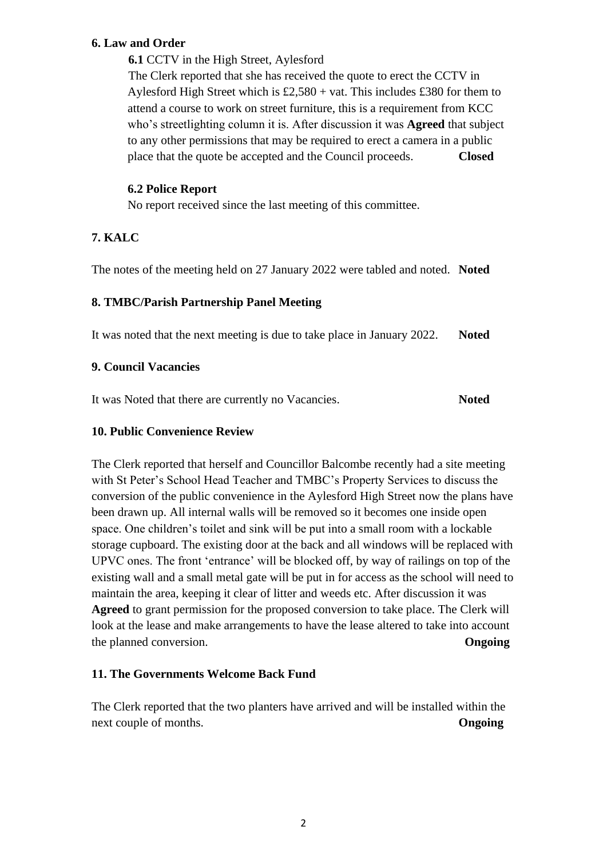#### **6. Law and Order**

**6.1** CCTV in the High Street, Aylesford

The Clerk reported that she has received the quote to erect the CCTV in Aylesford High Street which is  $£2,580 + vat$ . This includes £380 for them to attend a course to work on street furniture, this is a requirement from KCC who's streetlighting column it is. After discussion it was **Agreed** that subject to any other permissions that may be required to erect a camera in a public place that the quote be accepted and the Council proceeds. **Closed**

### **6.2 Police Report**

No report received since the last meeting of this committee.

# **7. KALC**

The notes of the meeting held on 27 January 2022 were tabled and noted. **Noted**

#### **8. TMBC/Parish Partnership Panel Meeting**

It was noted that the next meeting is due to take place in January 2022. **Noted** 

#### **9. Council Vacancies**

It was Noted that there are currently no Vacancies. **Noted**

#### **10. Public Convenience Review**

The Clerk reported that herself and Councillor Balcombe recently had a site meeting with St Peter's School Head Teacher and TMBC's Property Services to discuss the conversion of the public convenience in the Aylesford High Street now the plans have been drawn up. All internal walls will be removed so it becomes one inside open space. One children's toilet and sink will be put into a small room with a lockable storage cupboard. The existing door at the back and all windows will be replaced with UPVC ones. The front 'entrance' will be blocked off, by way of railings on top of the existing wall and a small metal gate will be put in for access as the school will need to maintain the area, keeping it clear of litter and weeds etc. After discussion it was **Agreed** to grant permission for the proposed conversion to take place. The Clerk will look at the lease and make arrangements to have the lease altered to take into account the planned conversion. **Ongoing**

# **11. The Governments Welcome Back Fund**

The Clerk reported that the two planters have arrived and will be installed within the next couple of months. **Ongoing**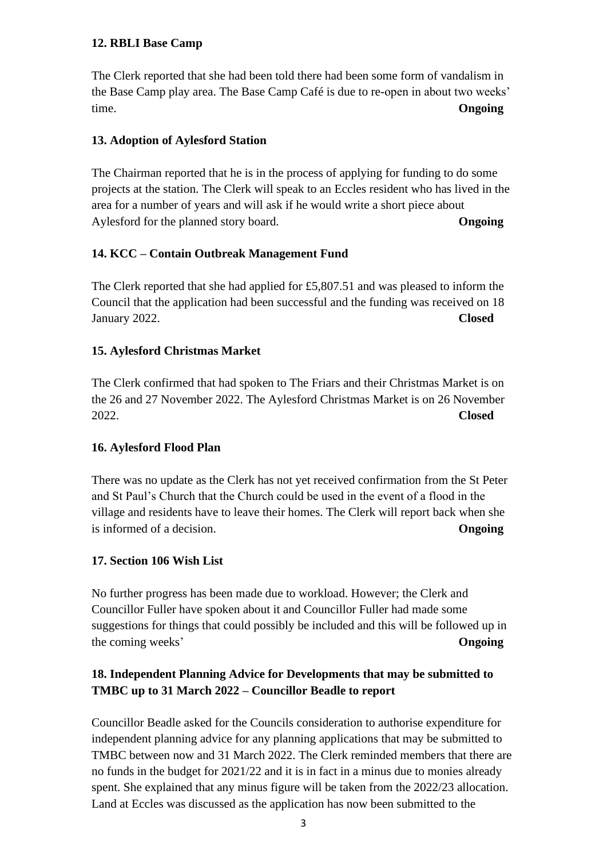#### **12. RBLI Base Camp**

The Clerk reported that she had been told there had been some form of vandalism in the Base Camp play area. The Base Camp Café is due to re-open in about two weeks' time. **Ongoing**

#### **13. Adoption of Aylesford Station**

The Chairman reported that he is in the process of applying for funding to do some projects at the station. The Clerk will speak to an Eccles resident who has lived in the area for a number of years and will ask if he would write a short piece about Aylesford for the planned story board. **Ongoing**

#### **14. KCC – Contain Outbreak Management Fund**

The Clerk reported that she had applied for £5,807.51 and was pleased to inform the Council that the application had been successful and the funding was received on 18 January 2022. **Closed**

#### **15. Aylesford Christmas Market**

The Clerk confirmed that had spoken to The Friars and their Christmas Market is on the 26 and 27 November 2022. The Aylesford Christmas Market is on 26 November 2022. **Closed**

#### **16. Aylesford Flood Plan**

There was no update as the Clerk has not yet received confirmation from the St Peter and St Paul's Church that the Church could be used in the event of a flood in the village and residents have to leave their homes. The Clerk will report back when she is informed of a decision. **Ongoing**

#### **17. Section 106 Wish List**

No further progress has been made due to workload. However; the Clerk and Councillor Fuller have spoken about it and Councillor Fuller had made some suggestions for things that could possibly be included and this will be followed up in the coming weeks' **Ongoing**

# **18. Independent Planning Advice for Developments that may be submitted to TMBC up to 31 March 2022 – Councillor Beadle to report**

Councillor Beadle asked for the Councils consideration to authorise expenditure for independent planning advice for any planning applications that may be submitted to TMBC between now and 31 March 2022. The Clerk reminded members that there are no funds in the budget for 2021/22 and it is in fact in a minus due to monies already spent. She explained that any minus figure will be taken from the 2022/23 allocation. Land at Eccles was discussed as the application has now been submitted to the